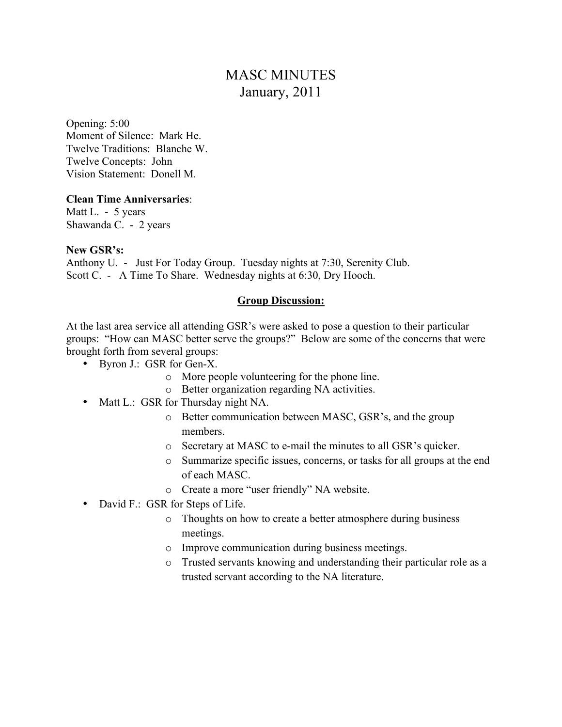# MASC MINUTES January, 2011

Opening: 5:00 Moment of Silence: Mark He. Twelve Traditions: Blanche W. Twelve Concepts: John Vision Statement: Donell M.

### **Clean Time Anniversaries**:

Matt L. - 5 years Shawanda C. - 2 years

#### **New GSR's:**

Anthony U. - Just For Today Group. Tuesday nights at 7:30, Serenity Club. Scott C. - A Time To Share. Wednesday nights at 6:30, Dry Hooch.

### **Group Discussion:**

At the last area service all attending GSR's were asked to pose a question to their particular groups: "How can MASC better serve the groups?" Below are some of the concerns that were brought forth from several groups:

- Byron J.: GSR for Gen-X.
	- o More people volunteering for the phone line.
	- o Better organization regarding NA activities.
- Matt L.: GSR for Thursday night NA.
	- o Better communication between MASC, GSR's, and the group members.
	- o Secretary at MASC to e-mail the minutes to all GSR's quicker.
	- o Summarize specific issues, concerns, or tasks for all groups at the end of each MASC.
	- o Create a more "user friendly" NA website.
- David F.: GSR for Steps of Life.
	- o Thoughts on how to create a better atmosphere during business meetings.
	- o Improve communication during business meetings.
	- o Trusted servants knowing and understanding their particular role as a trusted servant according to the NA literature.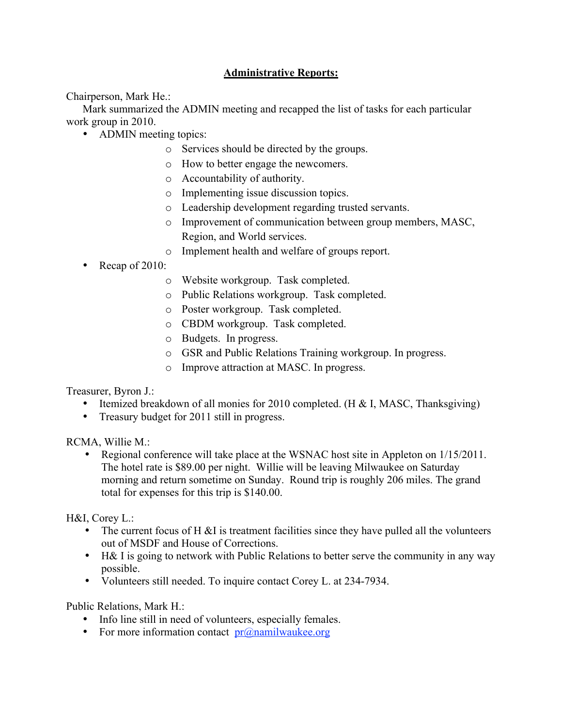# **Administrative Reports:**

Chairperson, Mark He.:

Mark summarized the ADMIN meeting and recapped the list of tasks for each particular work group in 2010.

- ADMIN meeting topics:
	- o Services should be directed by the groups.
	- o How to better engage the newcomers.
	- o Accountability of authority.
	- o Implementing issue discussion topics.
	- o Leadership development regarding trusted servants.
	- o Improvement of communication between group members, MASC, Region, and World services.
	- o Implement health and welfare of groups report.
- Recap of 2010:
	- o Website workgroup. Task completed.
	- o Public Relations workgroup. Task completed.
	- o Poster workgroup. Task completed.
	- o CBDM workgroup. Task completed.
	- o Budgets. In progress.
	- o GSR and Public Relations Training workgroup. In progress.
	- o Improve attraction at MASC. In progress.

Treasurer, Byron J.:

- Itemized breakdown of all monies for 2010 completed. (H & I, MASC, Thanksgiving)
- Treasury budget for 2011 still in progress.

RCMA, Willie M.:

• Regional conference will take place at the WSNAC host site in Appleton on  $1/15/2011$ . The hotel rate is \$89.00 per night. Willie will be leaving Milwaukee on Saturday morning and return sometime on Sunday. Round trip is roughly 206 miles. The grand total for expenses for this trip is \$140.00.

H&I, Corey L.:

- The current focus of  $H \& I$  is treatment facilities since they have pulled all the volunteers out of MSDF and House of Corrections.
- H& I is going to network with Public Relations to better serve the community in any way possible.
- Volunteers still needed. To inquire contact Corey L. at 234-7934.

Public Relations, Mark H.:

- Info line still in need of volunteers, especially females.
- For more information contact  $pr(\hat{\omega})$  namilwaukee.org